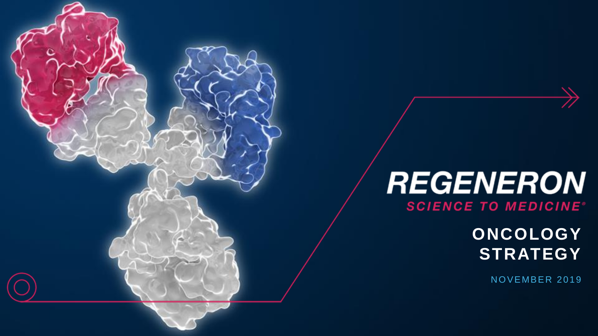# **REGENERON SCIENCE TO MEDICINE<sup>®</sup>**

**ONCOLOGY STRATEGY**

NOVEMBER 2019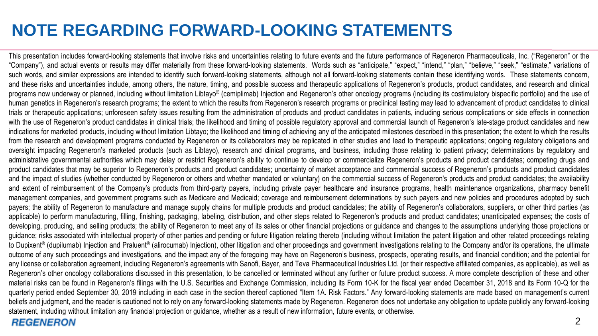# **NOTE REGARDING FORWARD-LOOKING STATEMENTS**

This presentation includes forward-looking statements that involve risks and uncertainties relating to future events and the future performance of Regeneron Pharmaceuticals, Inc. ("Regeneron" or the "Company"), and actual events or results may differ materially from these forward-looking statements. Words such as "anticipate," "expect," "intend," "plan," "believe," "seek," "estimate," variations of such words, and similar expressions are intended to identify such forward-looking statements, although not all forward-looking statements contain these identifying words. These statements concern, and these risks and uncertainties include, among others, the nature, timing, and possible success and therapeutic applications of Regeneron's products, product candidates, and research and clinical programs now underway or planned, including without limitation Libtayo® (cemiplimab) Injection and Regeneron's other oncology programs (including its costimulatory bispecific portfolio) and the use of human genetics in Regeneron's research programs; the extent to which the results from Regeneron's research programs or preclinical testing may lead to advancement of product candidates to clinical trials or therapeutic applications; unforeseen safety issues resulting from the administration of products and product candidates in patients, including serious complications or side effects in connection with the use of Regeneron's product candidates in clinical trials; the likelihood and timing of possible regulatory approval and commercial launch of Regeneron's late-stage product candidates and new indications for marketed products, including without limitation Libtayo; the likelihood and timing of achieving any of the anticipated milestones described in this presentation; the extent to which the results from the research and development programs conducted by Regeneron or its collaborators may be replicated in other studies and lead to therapeutic applications; ongoing regulatory obligations and oversight impacting Regeneron's marketed products (such as Libtayo), research and clinical programs, and business, including those relating to patient privacy; determinations by regulatory and administrative governmental authorities which may delay or restrict Regeneron's ability to continue to develop or commercialize Regeneron's products and product candidates; competing drugs and product candidates that may be superior to Regeneron's products and product candidates; uncertainty of market acceptance and commercial success of Regeneron's products and product candidates and the impact of studies (whether conducted by Regeneron or others and whether mandated or voluntary) on the commercial success of Regeneron's products and product candidates; the availability and extent of reimbursement of the Company's products from third-party payers, including private payer healthcare and insurance programs, health maintenance organizations, pharmacy benefit management companies, and government programs such as Medicare and Medicaid; coverage and reimbursement determinations by such payers and new policies and procedures adopted by such payers; the ability of Regeneron to manufacture and manage supply chains for multiple products and product candidates; the ability of Regeneron's collaborators, suppliers, or other third parties (as applicable) to perform manufacturing, filling, finishing, packaging, labeling, distribution, and other steps related to Regeneron's products and product candidates; unanticipated expenses; the costs of developing, producing, and selling products; the ability of Regeneron to meet any of its sales or other financial projections or guidance and changes to the assumptions underlying those projections or guidance; risks associated with intellectual property of other parties and pending or future litigation relating thereto (including without limitation the patent litigation and other related proceedings relating to Dupixent® (dupilumab) Injection and Praluent® (alirocumab) Injection), other litigation and other proceedings and government investigations relating to the Company and/or its operations, the ultimate outcome of any such proceedings and investigations, and the impact any of the foregoing may have on Regeneron's business, prospects, operating results, and financial condition; and the potential for any license or collaboration agreement, including Regeneron's agreements with Sanofi, Bayer, and Teva Pharmaceutical Industries Ltd. (or their respective affiliated companies, as applicable), as well as Regeneron's other oncology collaborations discussed in this presentation, to be cancelled or terminated without any further or future product success. A more complete description of these and other material risks can be found in Regeneron's filings with the U.S. Securities and Exchange Commission, including its Form 10-K for the fiscal year ended December 31, 2018 and its Form 10-Q for the quarterly period ended September 30, 2019 including in each case in the section thereof captioned "Item 1A. Risk Factors." Any forward-looking statements are made based on management's current beliefs and judgment, and the reader is cautioned not to rely on any forward-looking statements made by Regeneron. Regeneron does not undertake any obligation to update publicly any forward-looking statement, including without limitation any financial projection or guidance, whether as a result of new information, future events, or otherwise.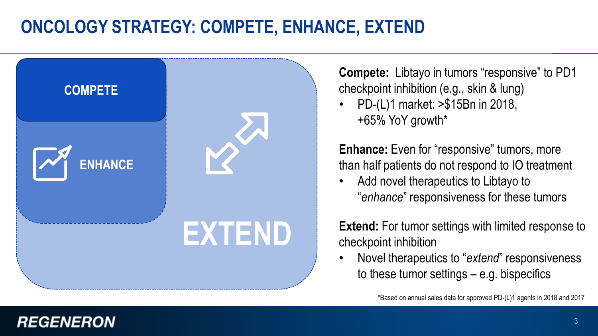# **ONCOLOGY STRATEGY: COMPETE, ENHANCE, EXTEND**



**Compete:** Libtayo in tumors "responsive" to PD1 checkpoint inhibition (e.g., skin & lung)

• PD-(L)1 market: >\$15Bn in 2018, +65% YoY growth\*

**Enhance:** Even for "responsive" tumors, more than half patients do not respond to IO treatment

• Add novel therapeutics to Libtayo to "*enhance*" responsiveness for these tumors

**Extend:** For tumor settings with limited response to checkpoint inhibition

• Novel therapeutics to "*extend*" responsiveness to these tumor settings – e.g. bispecifics

\*Based on annual sales data for approved PD-(L)1 agents in 2018 and 2017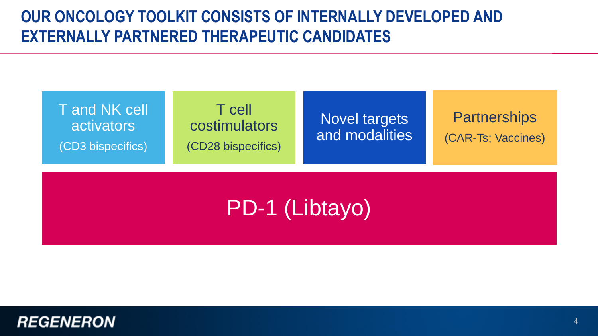# **OUR ONCOLOGY TOOLKIT CONSISTS OF INTERNALLY DEVELOPED AND EXTERNALLY PARTNERED THERAPEUTIC CANDIDATES**



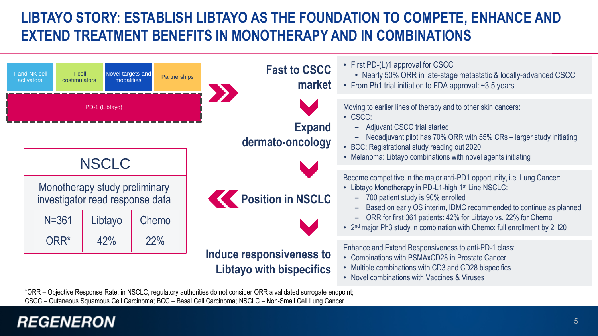# **LIBTAYO STORY: ESTABLISH LIBTAYO AS THE FOUNDATION TO COMPETE, ENHANCE AND EXTEND TREATMENT BENEFITS IN MONOTHERAPY AND IN COMBINATIONS**



\*ORR – Objective Response Rate; in NSCLC, regulatory authorities do not consider ORR a validated surrogate endpoint; CSCC – Cutaneous Squamous Cell Carcinoma; BCC – Basal Cell Carcinoma; NSCLC – Non-Small Cell Lung Cancer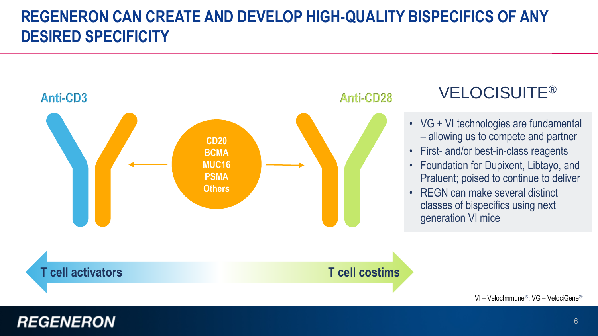# **REGENERON CAN CREATE AND DEVELOP HIGH-QUALITY BISPECIFICS OF ANY DESIRED SPECIFICITY**



# VELOCISUITE®

- VG + VI technologies are fundamental – allowing us to compete and partner
- First- and/or best-in-class reagents
- Foundation for Dupixent, Libtayo, and Praluent; poised to continue to deliver
- REGN can make several distinct classes of bispecifics using next generation VI mice

VI – VelocImmune®; VG – VelociGene®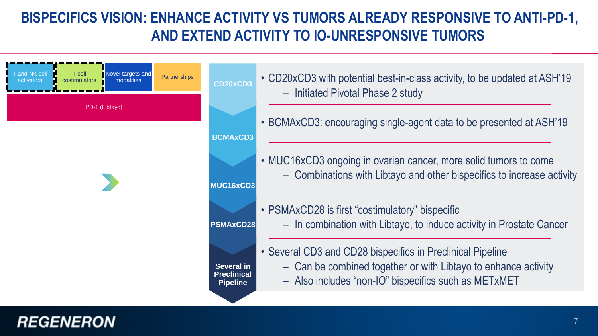## **BISPECIFICS VISION: ENHANCE ACTIVITY VS TUMORS ALREADY RESPONSIVE TO ANTI-PD-1, AND EXTEND ACTIVITY TO IO-UNRESPONSIVE TUMORS**



- CD20xCD3 with potential best-in-class activity, to be updated at ASH'19 – Initiated Pivotal Phase 2 study
- BCMAxCD3: encouraging single-agent data to be presented at ASH'19
- MUC16xCD3 ongoing in ovarian cancer, more solid tumors to come – Combinations with Libtayo and other bispecifics to increase activity
- **MUC16xCD3**

- PSMAxCD28 is first "costimulatory" bispecific – In combination with Libtayo, to induce activity in Prostate Cancer
- Several CD3 and CD28 bispecifics in Preclinical Pipeline
	- Can be combined together or with Libtayo to enhance activity
	- Also includes "non-IO" bispecifics such as METxMET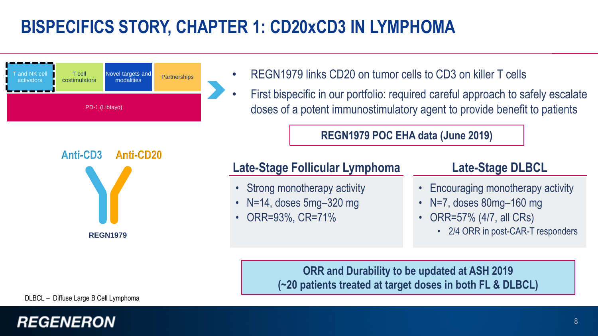# **BISPECIFICS STORY, CHAPTER 1: CD20xCD3 IN LYMPHOMA**



**Anti-CD3 Anti-CD20**

- REGN1979 links CD20 on tumor cells to CD3 on killer T cells
- First bispecific in our portfolio: required careful approach to safely escalate doses of a potent immunostimulatory agent to provide benefit to patients

#### **REGN1979 POC EHA data (June 2019)**

### **Late-Stage Follicular Lymphoma**

- Strong monotherapy activity
- N=14, doses 5mg–320 mg
- ORR=93%, CR=71%

#### **Late-Stage DLBCL**

- Encouraging monotherapy activity
- N=7, doses 80mg–160 mg
- ORR=57% (4/7, all CRs)
	- 2/4 ORR in post-CAR-T responders

**ORR and Durability to be updated at ASH 2019 (~20 patients treated at target doses in both FL & DLBCL)**

DLBCL – Diffuse Large B Cell Lymphoma

**REGN1979**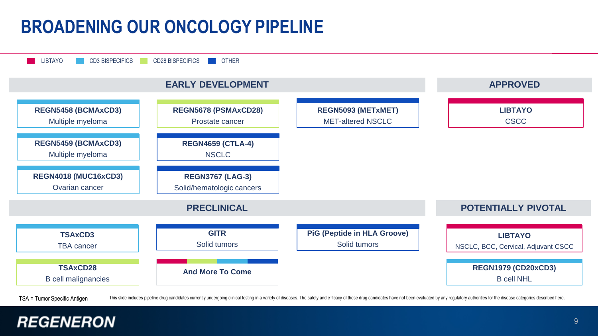# **BROADENING OUR ONCOLOGY PIPELINE**



TSA = Tumor Specific Antigen This slide includes pipeline drug candidates currently undergoing clinical testing in a variety of diseases. The safety and efficacy of these drug candidates have not been evaluated by any regu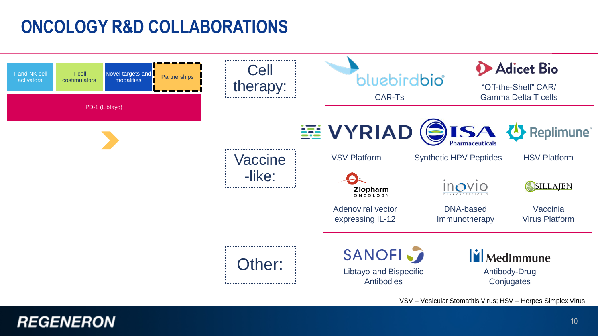# **ONCOLOGY R&D COLLABORATIONS**



VSV – Vesicular Stomatitis Virus; HSV – Herpes Simplex Virus